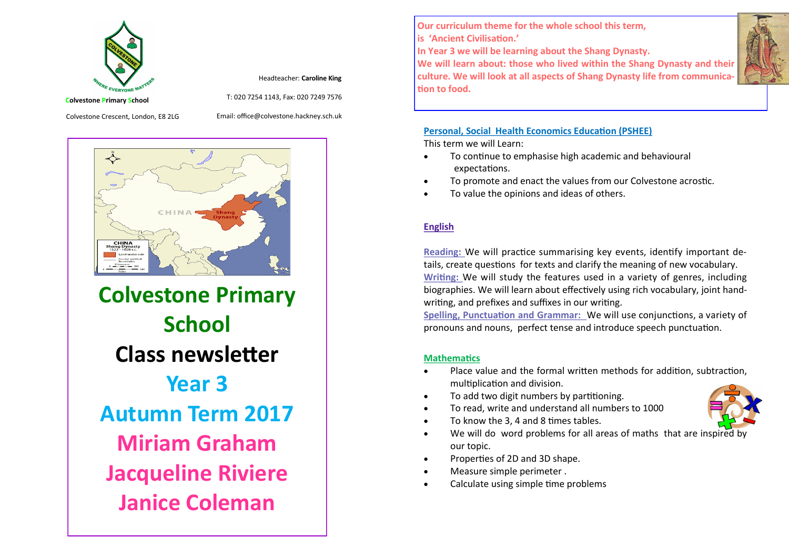

Headteacher: **Caroline King**

T: 020 7254 1143, Fax: 020 7249 7576

**Colvestone Primary School**

Colvestone Crescent, London, E8 2LG

Email: office@colvestone.hackney.sch.uk



**Colvestone Primary School Class newsletter Year 3 Autumn Term 2017 Miriam Graham Jacqueline Riviere Janice Coleman**

**Our curriculum theme for the whole school this term, is 'Ancient Civilisation.'**

**In Year 3 we will be learning about the Shang Dynasty.**

**We will learn about: those who lived within the Shang Dynasty and their culture. We will look at all aspects of Shang Dynasty life from communication to food.**

#### **Personal, Social Health Economics Education (PSHEE)** This term we will Learn:

- To continue to emphasise high academic and behavioural expectations.
- To promote and enact the values from our Colvestone acrostic.
- To value the opinions and ideas of others.

## **English**

**Reading:** We will practice summarising key events, identify important details, create questions for texts and clarify the meaning of new vocabulary. **Writing:** We will study the features used in a variety of genres, including biographies. We will learn about effectively using rich vocabulary, joint handwriting, and prefixes and suffixes in our writing.

**Spelling, Punctuation and Grammar:** We will use conjunctions, a variety of pronouns and nouns, perfect tense and introduce speech punctuation.

## **Mathematics**

- Place value and the formal written methods for addition, subtraction, multiplication and division.
- To add two digit numbers by partitioning.
- To read, write and understand all numbers to 1000
- To know the 3, 4 and 8 times tables.
- We will do word problems for all areas of maths that are inspired by our topic.
- Properties of 2D and 3D shape.
- Measure simple perimeter .
- Calculate using simple time problems